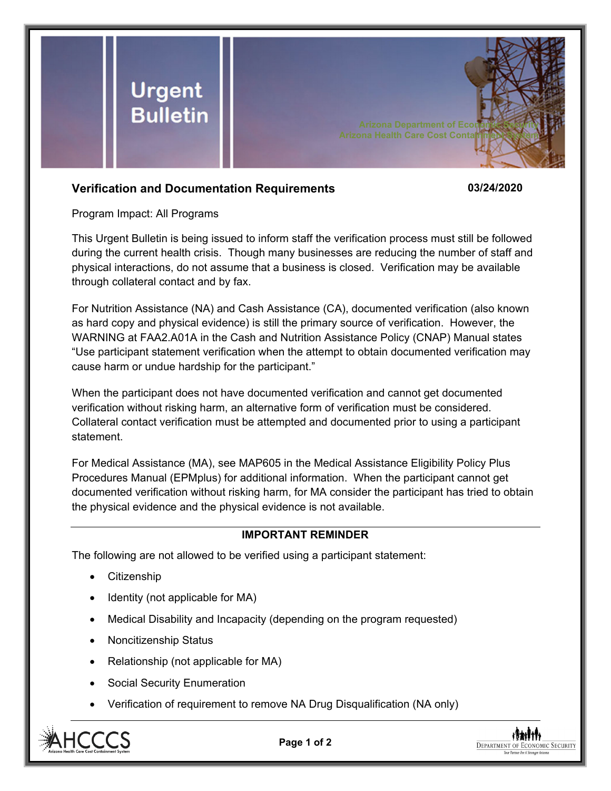

## **Verification and Documentation Requirements 03/24/2020**

Program Impact: All Programs

This Urgent Bulletin is being issued to inform staff the verification process must still be followed during the current health crisis. Though many businesses are reducing the number of staff and physical interactions, do not assume that a business is closed. Verification may be available through collateral contact and by fax.

For Nutrition Assistance (NA) and Cash Assistance (CA), documented verification (also known as hard copy and physical evidence) is still the primary source of verification. However, the WARNING at FAA2.A01A in the Cash and Nutrition Assistance Policy (CNAP) Manual states "Use participant statement verification when the attempt to obtain documented verification may cause harm or undue hardship for the participant."

When the participant does not have documented verification and cannot get documented verification without risking harm, an alternative form of verification must be considered. Collateral contact verification must be attempted and documented prior to using a participant statement.

For Medical Assistance (MA), see MAP605 in the Medical Assistance Eligibility Policy Plus Procedures Manual (EPMplus) for additional information. When the participant cannot get documented verification without risking harm, for MA consider the participant has tried to obtain the physical evidence and the physical evidence is not available.

## **IMPORTANT REMINDER**

The following are not allowed to be verified using a participant statement:

- Citizenship
- $\bullet$  Identity (not applicable for MA)
- Medical Disability and Incapacity (depending on the program requested)
- Noncitizenship Status
- Relationship (not applicable for MA)
- Social Security Enumeration
- Verification of requirement to remove NA Drug Disqualification (NA only)



**Page 1 of 2**